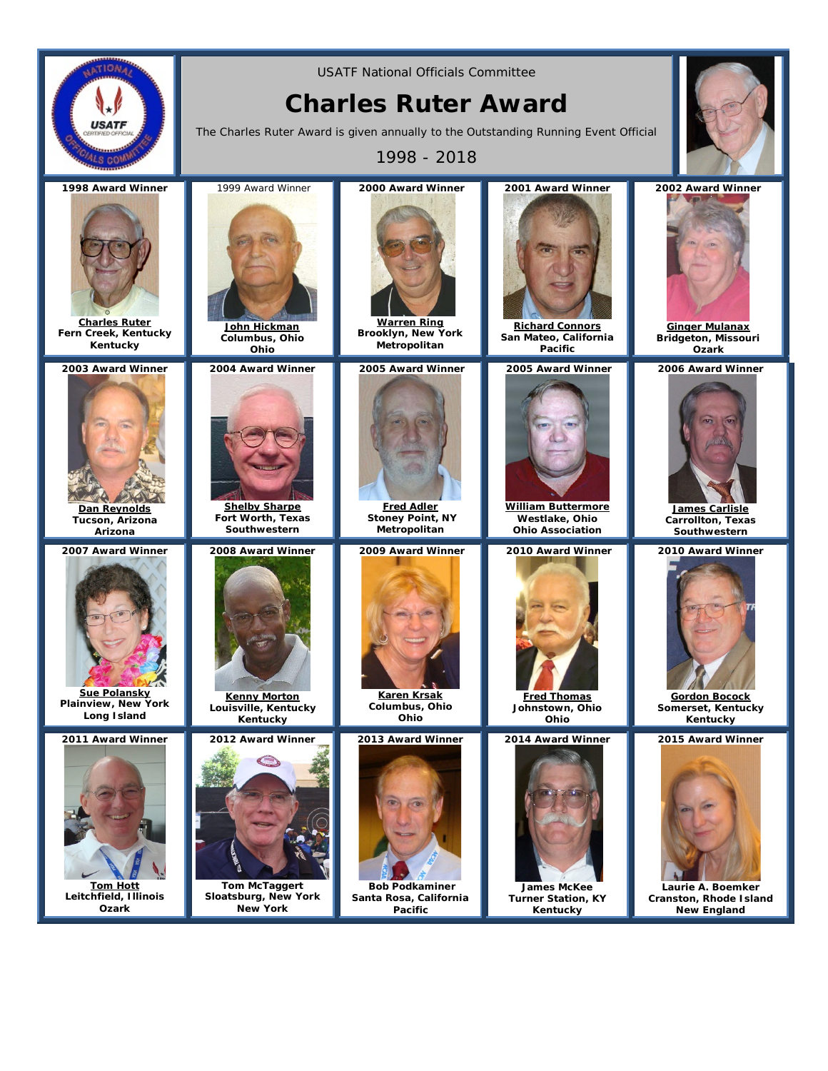